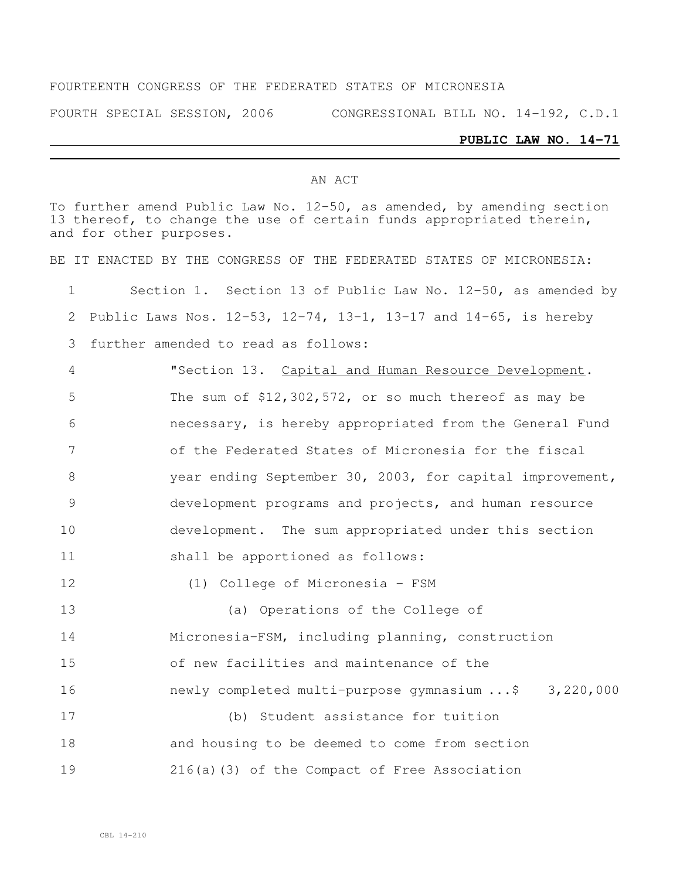#### FOURTEENTH CONGRESS OF THE FEDERATED STATES OF MICRONESIA

FOURTH SPECIAL SESSION, 2006 CONGRESSIONAL BILL NO. 14-192, C.D.1

#### **PUBLIC LAW NO. 14-71**

#### AN ACT

To further amend Public Law No. 12-50, as amended, by amending section 13 thereof, to change the use of certain funds appropriated therein, and for other purposes. BE IT ENACTED BY THE CONGRESS OF THE FEDERATED STATES OF MICRONESIA: Section 1. Section 13 of Public Law No. 12-50, as amended by Public Laws Nos. 12-53, 12-74, 13-1, 13-17 and 14-65, is hereby further amended to read as follows: "Section 13. Capital and Human Resource Development. The sum of \$12,302,572, or so much thereof as may be necessary, is hereby appropriated from the General Fund of the Federated States of Micronesia for the fiscal year ending September 30, 2003, for capital improvement, development programs and projects, and human resource development. The sum appropriated under this section shall be apportioned as follows: (1) College of Micronesia - FSM (a) Operations of the College of Micronesia-FSM, including planning, construction of new facilities and maintenance of the newly completed multi-purpose gymnasium ...\$ 3,220,000 (b) Student assistance for tuition and housing to be deemed to come from section 216(a)(3) of the Compact of Free Association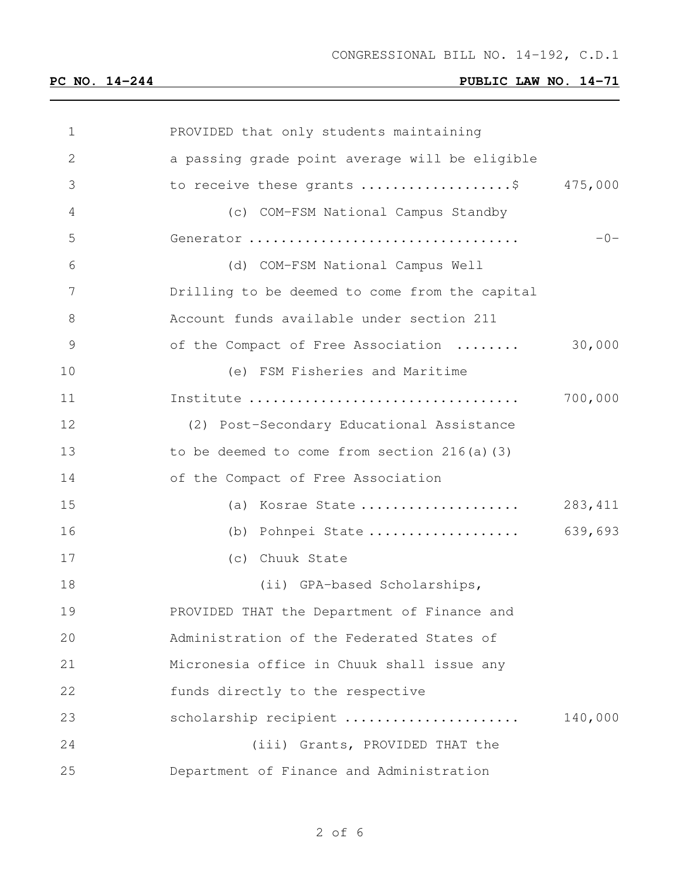| 1            | PROVIDED that only students maintaining        |         |
|--------------|------------------------------------------------|---------|
| $\mathbf{2}$ | a passing grade point average will be eligible |         |
| 3            | to receive these grants \$ 475,000             |         |
| 4            | (c) COM-FSM National Campus Standby            |         |
| 5            | Generator                                      | $-0-$   |
| 6            | (d) COM-FSM National Campus Well               |         |
| 7            | Drilling to be deemed to come from the capital |         |
| 8            | Account funds available under section 211      |         |
| 9            | of the Compact of Free Association             | 30,000  |
| 10           | (e) FSM Fisheries and Maritime                 |         |
| 11           |                                                | 700,000 |
| 12           | (2) Post-Secondary Educational Assistance      |         |
| 13           | to be deemed to come from section $216(a)$ (3) |         |
| 14           | of the Compact of Free Association             |         |
| 15           | (a) Kosrae State                               | 283,411 |
| 16           | (b) Pohnpei State                              | 639,693 |
| 17           | (c) Chuuk State                                |         |
| 18           | (ii) GPA-based Scholarships,                   |         |
| 19           | PROVIDED THAT the Department of Finance and    |         |
| 20           | Administration of the Federated States of      |         |
| 21           | Micronesia office in Chuuk shall issue any     |         |
| 22           | funds directly to the respective               |         |
| 23           | scholarship recipient                          | 140,000 |
| 24           | (iii) Grants, PROVIDED THAT the                |         |
| 25           | Department of Finance and Administration       |         |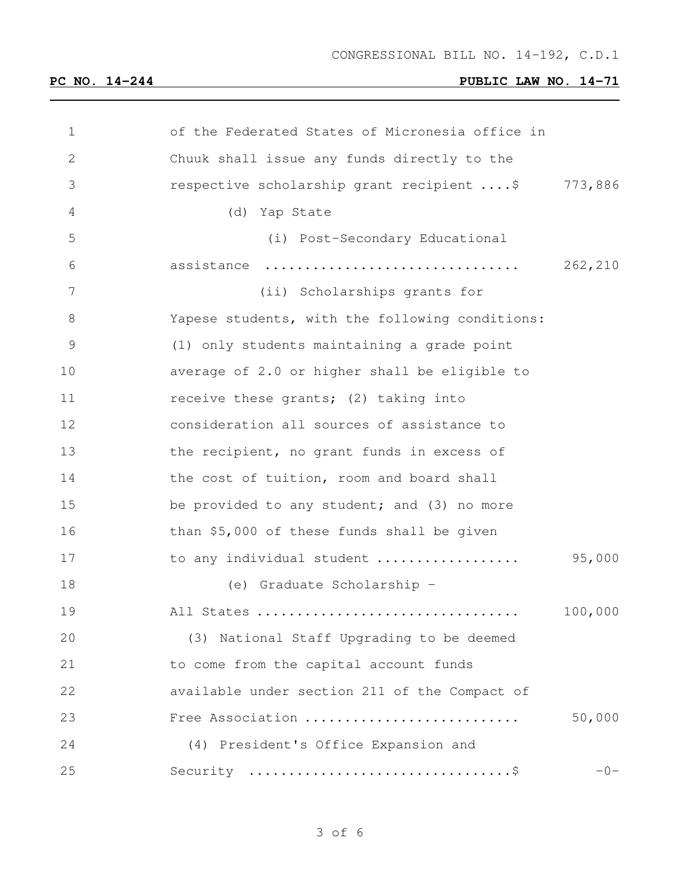| $\mathbf 1$  | of the Federated States of Micronesia office in |         |
|--------------|-------------------------------------------------|---------|
| $\mathbf{2}$ | Chuuk shall issue any funds directly to the     |         |
| 3            | respective scholarship grant recipient  \$      | 773,886 |
| 4            | (d) Yap State                                   |         |
| 5            | (i) Post-Secondary Educational                  |         |
| 6            | assistance                                      | 262,210 |
| 7            | (ii) Scholarships grants for                    |         |
| 8            | Yapese students, with the following conditions: |         |
| 9            | (1) only students maintaining a grade point     |         |
| 10           | average of 2.0 or higher shall be eligible to   |         |
| 11           | receive these grants; (2) taking into           |         |
| 12           | consideration all sources of assistance to      |         |
| 13           | the recipient, no grant funds in excess of      |         |
| 14           | the cost of tuition, room and board shall       |         |
| 15           | be provided to any student; and (3) no more     |         |
| 16           | than \$5,000 of these funds shall be given      |         |
| 17           | to any individual student                       | 95,000  |
| 18           | (e) Graduate Scholarship -                      |         |
| 19           | All States                                      | 100,000 |
| 20           | (3) National Staff Upgrading to be deemed       |         |
| 21           | to come from the capital account funds          |         |
| 22           | available under section 211 of the Compact of   |         |
| 23           | Free Association                                | 50,000  |
| 24           | (4) President's Office Expansion and            |         |
| 25           |                                                 | $-0-$   |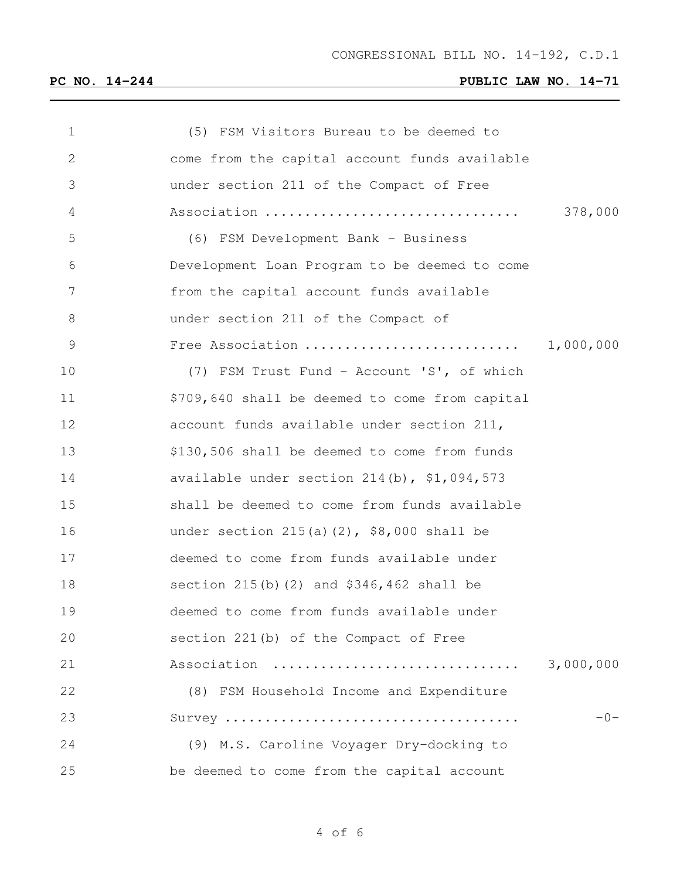| $\mathbf 1$ | (5) FSM Visitors Bureau to be deemed to        |           |
|-------------|------------------------------------------------|-----------|
| 2           | come from the capital account funds available  |           |
| 3           | under section 211 of the Compact of Free       |           |
| 4           | Association                                    | 378,000   |
| 5           | (6) FSM Development Bank - Business            |           |
| 6           | Development Loan Program to be deemed to come  |           |
| 7           | from the capital account funds available       |           |
| 8           | under section 211 of the Compact of            |           |
| 9           | Free Association                               | 1,000,000 |
| 10          | (7) FSM Trust Fund - Account 'S', of which     |           |
| 11          | \$709,640 shall be deemed to come from capital |           |
| 12          | account funds available under section 211,     |           |
| 13          | \$130,506 shall be deemed to come from funds   |           |
| 14          | available under section 214(b), \$1,094,573    |           |
| 15          | shall be deemed to come from funds available   |           |
| 16          | under section $215(a)(2)$ , \$8,000 shall be   |           |
| 17          | deemed to come from funds available under      |           |
| 18          | section $215(b)$ (2) and $$346,462$ shall be   |           |
| 19          | deemed to come from funds available under      |           |
| 20          | section 221(b) of the Compact of Free          |           |
| 21          | Association                                    | 3,000,000 |
| 22          | (8) FSM Household Income and Expenditure       |           |
| 23          |                                                | $-0-$     |
| 24          | (9) M.S. Caroline Voyager Dry-docking to       |           |
| 25          | be deemed to come from the capital account     |           |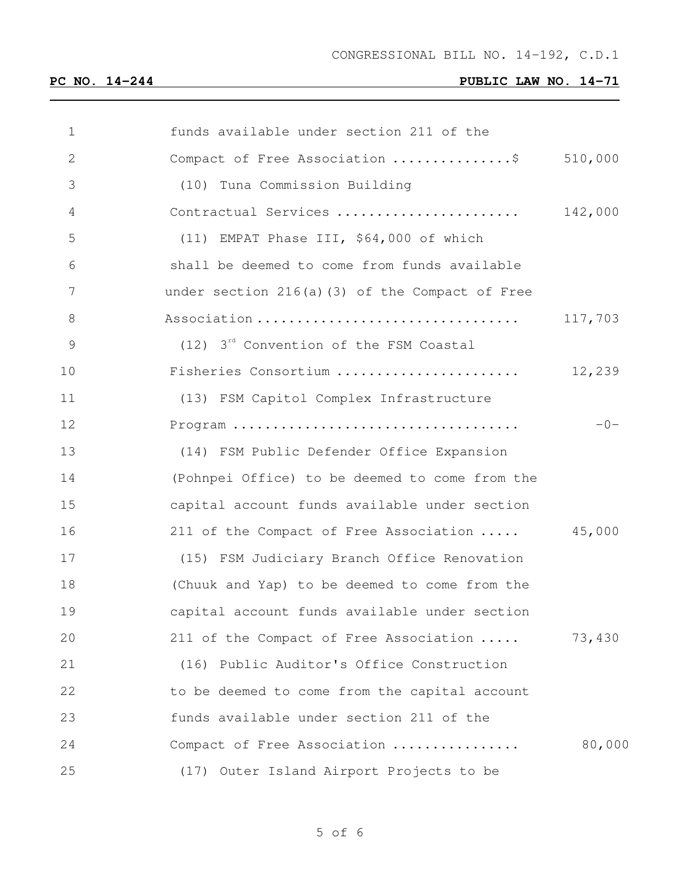| $\mathbf 1$    | funds available under section 211 of the           |         |
|----------------|----------------------------------------------------|---------|
| 2              | Compact of Free Association \$                     | 510,000 |
| 3              | (10) Tuna Commission Building                      |         |
| 4              | Contractual Services                               | 142,000 |
| 5              | (11) EMPAT Phase III, \$64,000 of which            |         |
| 6              | shall be deemed to come from funds available       |         |
| $\overline{7}$ | under section $216(a)$ (3) of the Compact of Free  |         |
| $\,8\,$        | Association                                        | 117,703 |
| $\mathsf 9$    | (12) 3 <sup>rd</sup> Convention of the FSM Coastal |         |
| 10             | Fisheries Consortium                               | 12,239  |
| 11             | (13) FSM Capitol Complex Infrastructure            |         |
| 12             |                                                    | $-0-$   |
| 13             | (14) FSM Public Defender Office Expansion          |         |
| 14             | (Pohnpei Office) to be deemed to come from the     |         |
| 15             | capital account funds available under section      |         |
| 16             | 211 of the Compact of Free Association             | 45,000  |
| 17             | (15) FSM Judiciary Branch Office Renovation        |         |
| 18             | (Chuuk and Yap) to be deemed to come from the      |         |
| 19             | capital account funds available under section      |         |
| 20             | 211 of the Compact of Free Association             | 73,430  |
| 21             | (16) Public Auditor's Office Construction          |         |
| 22             | to be deemed to come from the capital account      |         |
| 23             | funds available under section 211 of the           |         |
| 24             | Compact of Free Association                        | 80,000  |
| 25             | (17) Outer Island Airport Projects to be           |         |